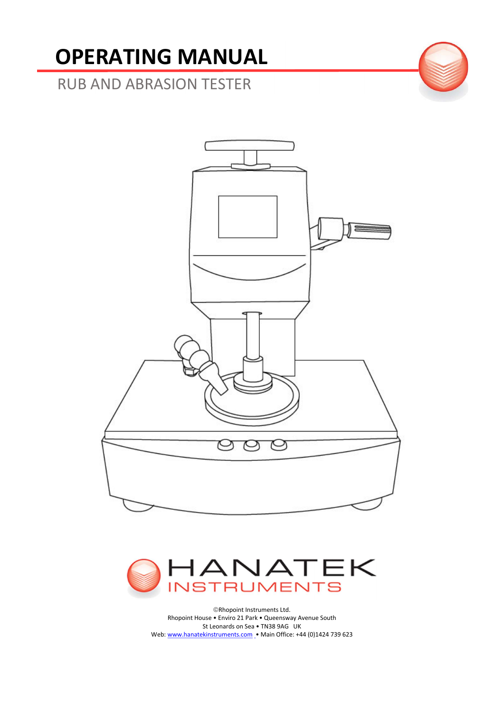# OPERATING MANUAL

RUB AND ABRASION TESTER





Rhopoint Instruments Ltd. Rhopoint House • Enviro 21 Park • Queensway Avenue South St Leonards on Sea • TN38 9AG UK Web: www.hanatekinstruments.com • Main Office: +44 (0)1424 739 623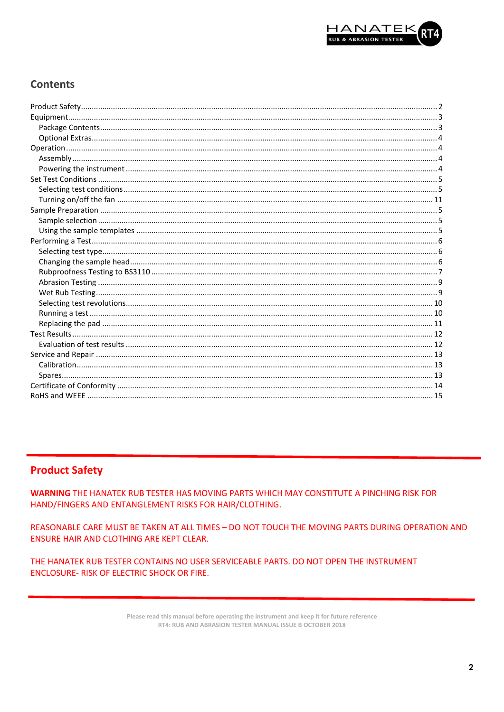

# **Contents**

# **Product Safety**

**WARNING THE HANATEK RUB TESTER HAS MOVING PARTS WHICH MAY CONSTITUTE A PINCHING RISK FOR** HAND/FINGERS AND ENTANGLEMENT RISKS FOR HAIR/CLOTHING.

REASONABLE CARE MUST BE TAKEN AT ALL TIMES - DO NOT TOUCH THE MOVING PARTS DURING OPERATION AND **ENSURE HAIR AND CLOTHING ARE KEPT CLEAR.** 

THE HANATEK RUB TESTER CONTAINS NO USER SERVICEABLE PARTS. DO NOT OPEN THE INSTRUMENT **ENCLOSURE- RISK OF ELECTRIC SHOCK OR FIRE.** 

> Please read this manual before operating the instrument and keep it for future reference RT4: RUB AND ABRASION TESTER MANUAL ISSUE B OCTOBER 2018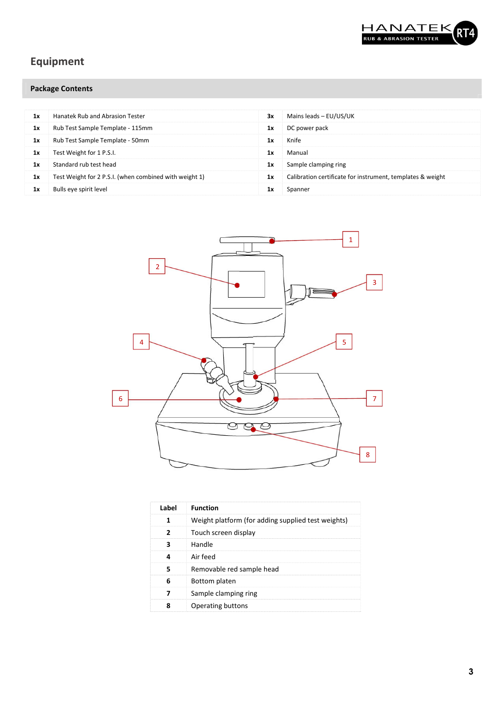

# Equipment

# Package Contents

| 1x | <b>Hanatek Rub and Abrasion Tester</b>                 | 3x | Mains leads - EU/US/UK                                     |
|----|--------------------------------------------------------|----|------------------------------------------------------------|
| 1x | Rub Test Sample Template - 115mm                       | 1x | DC power pack                                              |
| 1x | Rub Test Sample Template - 50mm                        | 1х | Knife                                                      |
| 1x | Test Weight for 1 P.S.I.                               | 1x | Manual                                                     |
| 1х | Standard rub test head                                 | 1x | Sample clamping ring                                       |
| 1x | Test Weight for 2 P.S.I. (when combined with weight 1) | 1x | Calibration certificate for instrument, templates & weight |
| 1x | Bulls eye spirit level                                 | 1х | Spanner                                                    |



| Weight platform (for adding supplied test weights)<br>1<br>$\overline{2}$<br>Touch screen display<br>3<br>Handle<br>Air feed<br>4 |
|-----------------------------------------------------------------------------------------------------------------------------------|
|                                                                                                                                   |
|                                                                                                                                   |
|                                                                                                                                   |
|                                                                                                                                   |
| 5<br>Removable red sample head                                                                                                    |
| 6<br>Bottom platen                                                                                                                |
| 7<br>Sample clamping ring                                                                                                         |
| 8<br>Operating buttons                                                                                                            |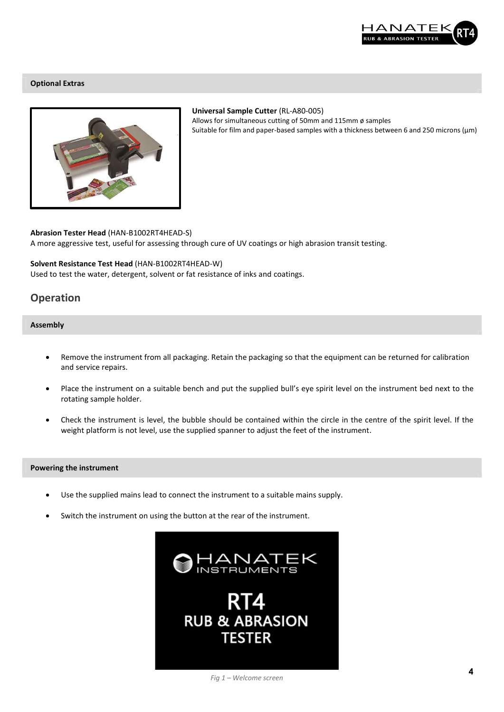

#### Optional Extras



#### Universal Sample Cutter (RL-A80-005) Allows for simultaneous cutting of 50mm and 115mm ø samples Suitable for film and paper-based samples with a thickness between 6 and 250 microns (μm)

Abrasion Tester Head (HAN-B1002RT4HEAD-S) A more aggressive test, useful for assessing through cure of UV coatings or high abrasion transit testing.

#### Solvent Resistance Test Head (HAN-B1002RT4HEAD-W)

Used to test the water, detergent, solvent or fat resistance of inks and coatings.

## **Operation**

#### Assembly

- Remove the instrument from all packaging. Retain the packaging so that the equipment can be returned for calibration and service repairs.
- Place the instrument on a suitable bench and put the supplied bull's eye spirit level on the instrument bed next to the rotating sample holder.
- Check the instrument is level, the bubble should be contained within the circle in the centre of the spirit level. If the weight platform is not level, use the supplied spanner to adjust the feet of the instrument.

#### Powering the instrument

- Use the supplied mains lead to connect the instrument to a suitable mains supply.
- Switch the instrument on using the button at the rear of the instrument.

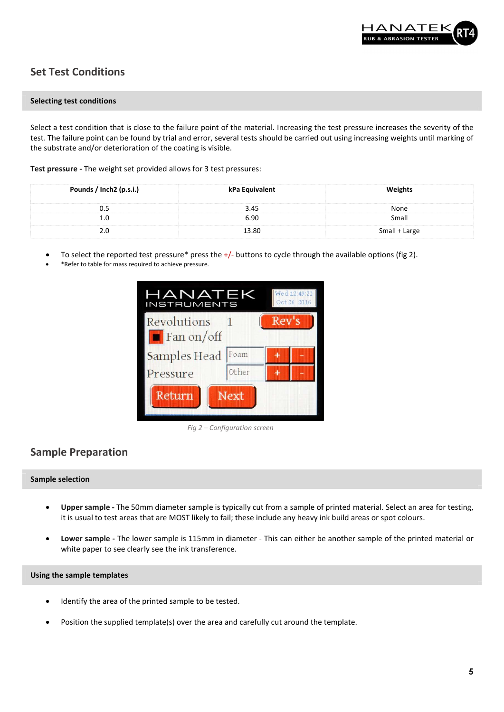

# Set Test Conditions

#### Selecting test conditions

Select a test condition that is close to the failure point of the material. Increasing the test pressure increases the severity of the test. The failure point can be found by trial and error, several tests should be carried out using increasing weights until marking of the substrate and/or deterioration of the coating is visible.

Test pressure - The weight set provided allows for 3 test pressures:

| Pounds / Inch2 (p.s.i.) | kPa Equivalent | Weights       |
|-------------------------|----------------|---------------|
| 0.5                     | 3.45           | None          |
| 1.0                     | 6.90           | Small         |
| 2.0                     | 13.80          | Small + Large |

- To select the reported test pressure\* press the +/- buttons to cycle through the available options (fig 2).
- \*Refer to table for mass required to achieve pressure.



Fig 2 – Configuration screen

## Sample Preparation

#### Sample selection

- Upper sample The 50mm diameter sample is typically cut from a sample of printed material. Select an area for testing, it is usual to test areas that are MOST likely to fail; these include any heavy ink build areas or spot colours.
- Lower sample The lower sample is 115mm in diameter This can either be another sample of the printed material or white paper to see clearly see the ink transference.

#### Using the sample templates

- Identify the area of the printed sample to be tested.
- Position the supplied template(s) over the area and carefully cut around the template.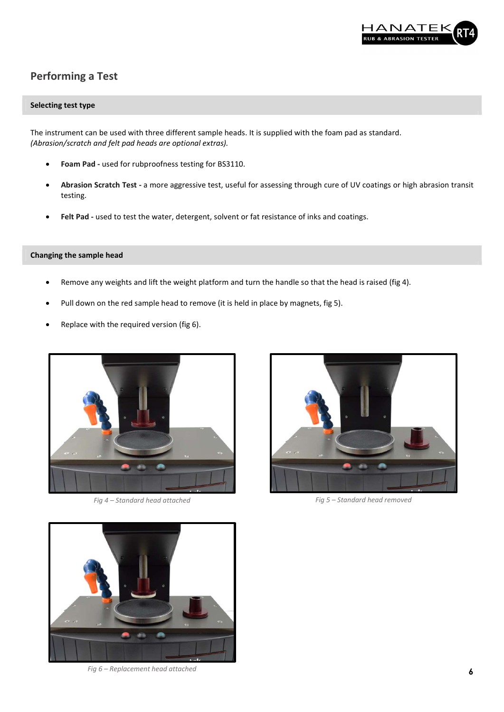

# Performing a Test

#### Selecting test type

The instrument can be used with three different sample heads. It is supplied with the foam pad as standard. (Abrasion/scratch and felt pad heads are optional extras).

- Foam Pad used for rubproofness testing for BS3110.
- Abrasion Scratch Test a more aggressive test, useful for assessing through cure of UV coatings or high abrasion transit testing.
- Felt Pad used to test the water, detergent, solvent or fat resistance of inks and coatings.

#### Changing the sample head

- Remove any weights and lift the weight platform and turn the handle so that the head is raised (fig 4).
- Pull down on the red sample head to remove (it is held in place by magnets, fig 5).
- Replace with the required version (fig 6).



Fig 4 – Standard head attached Fig 5 – Standard head removed





Fig 6 – Replacement head attached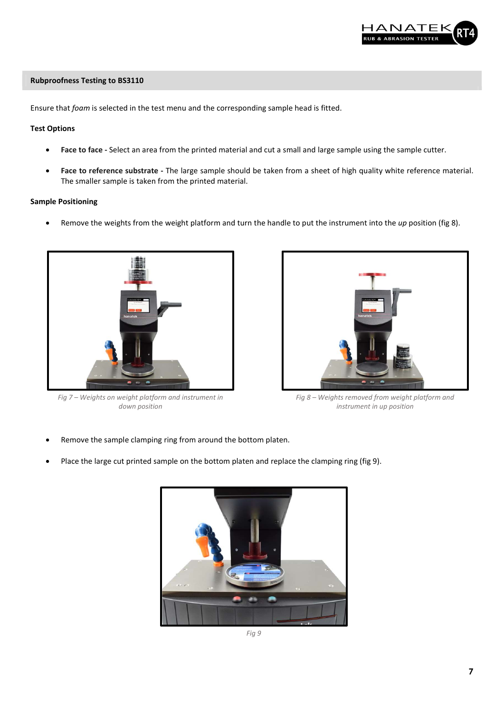

#### Rubproofness Testing to BS3110

Ensure that foam is selected in the test menu and the corresponding sample head is fitted.

#### Test Options

- Face to face Select an area from the printed material and cut a small and large sample using the sample cutter.
- Face to reference substrate The large sample should be taken from a sheet of high quality white reference material. The smaller sample is taken from the printed material.

#### Sample Positioning

Remove the weights from the weight platform and turn the handle to put the instrument into the up position (fig 8).



Fig 7 – Weights on weight platform and instrument in down position



Fig 8 – Weights removed from weight platform and instrument in up position

- Remove the sample clamping ring from around the bottom platen.
- Place the large cut printed sample on the bottom platen and replace the clamping ring (fig 9).



Fig 9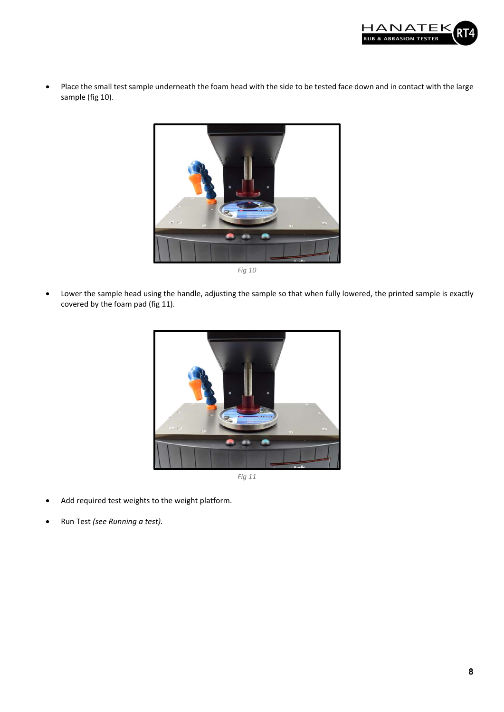

 Place the small test sample underneath the foam head with the side to be tested face down and in contact with the large sample (fig 10).



Fig 10

 Lower the sample head using the handle, adjusting the sample so that when fully lowered, the printed sample is exactly covered by the foam pad (fig 11).



- Add required test weights to the weight platform.
- Run Test (see Running a test).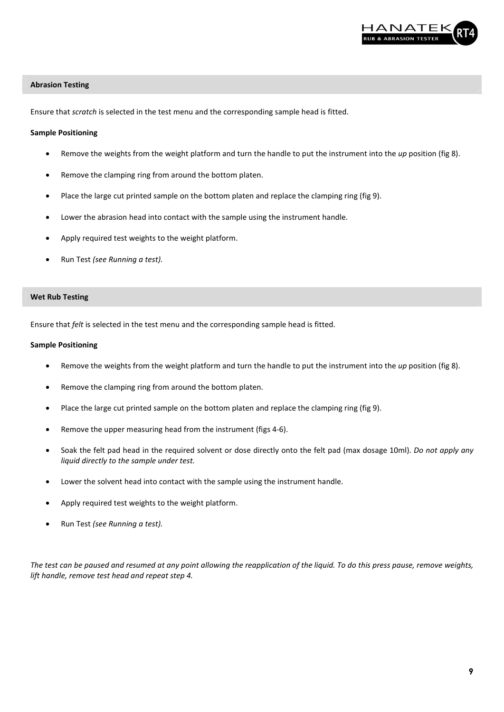

#### Abrasion Testing

Ensure that scratch is selected in the test menu and the corresponding sample head is fitted.

#### Sample Positioning

- Remove the weights from the weight platform and turn the handle to put the instrument into the up position (fig 8).
- Remove the clamping ring from around the bottom platen.
- Place the large cut printed sample on the bottom platen and replace the clamping ring (fig 9).
- Lower the abrasion head into contact with the sample using the instrument handle.
- Apply required test weights to the weight platform.
- Run Test (see Running a test).

#### Wet Rub Testing

Ensure that felt is selected in the test menu and the corresponding sample head is fitted.

#### Sample Positioning

- Remove the weights from the weight platform and turn the handle to put the instrument into the up position (fig 8).
- Remove the clamping ring from around the bottom platen.
- Place the large cut printed sample on the bottom platen and replace the clamping ring (fig 9).
- Remove the upper measuring head from the instrument (figs 4-6).
- Soak the felt pad head in the required solvent or dose directly onto the felt pad (max dosage 10ml). Do not apply any liquid directly to the sample under test.
- Lower the solvent head into contact with the sample using the instrument handle.
- Apply required test weights to the weight platform.
- Run Test (see Running a test).

The test can be paused and resumed at any point allowing the reapplication of the liquid. To do this press pause, remove weights, lift handle, remove test head and repeat step 4.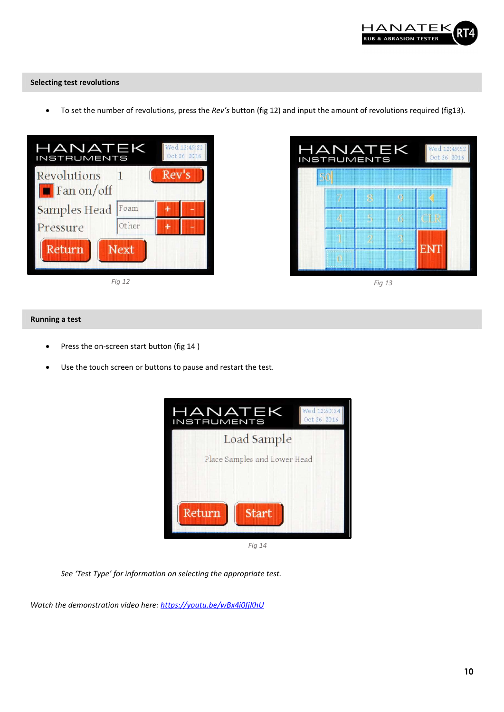

#### Selecting test revolutions

• To set the number of revolutions, press the Rev's button (fig 12) and input the amount of revolutions required (fig13).







#### Running a test

- Press the on-screen start button (fig 14 )
- Use the touch screen or buttons to pause and restart the test.



Fig 14

See 'Test Type' for information on selecting the appropriate test.

Watch the demonstration video here: https://youtu.be/wBx4i0fjKhU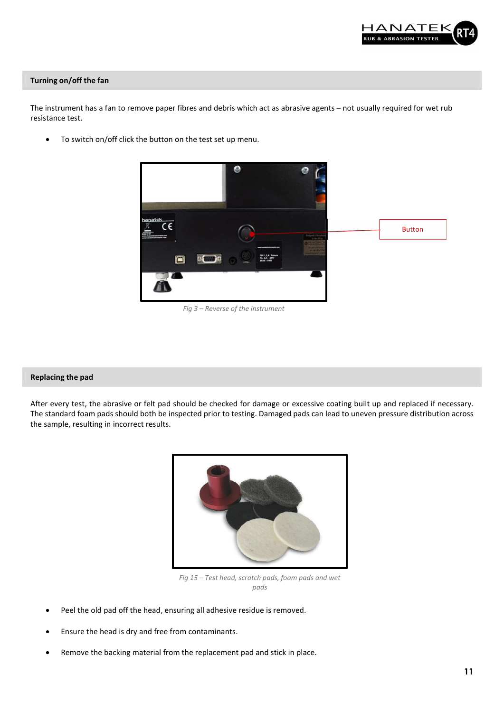

#### Turning on/off the fan

The instrument has a fan to remove paper fibres and debris which act as abrasive agents – not usually required for wet rub resistance test.

To switch on/off click the button on the test set up menu.



Fig 3 – Reverse of the instrument

#### Replacing the pad

After every test, the abrasive or felt pad should be checked for damage or excessive coating built up and replaced if necessary. The standard foam pads should both be inspected prior to testing. Damaged pads can lead to uneven pressure distribution across the sample, resulting in incorrect results.



Fig 15 – Test head, scratch pads, foam pads and wet pads

- Peel the old pad off the head, ensuring all adhesive residue is removed.
- Ensure the head is dry and free from contaminants.
- Remove the backing material from the replacement pad and stick in place.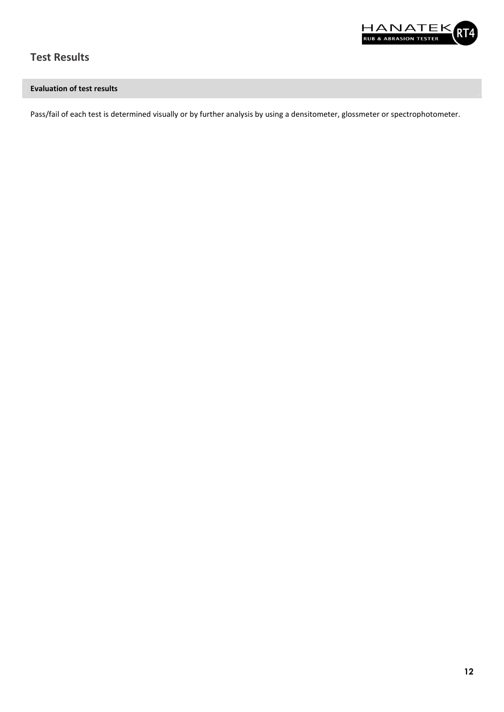

# Test Results

## Evaluation of test results

Pass/fail of each test is determined visually or by further analysis by using a densitometer, glossmeter or spectrophotometer.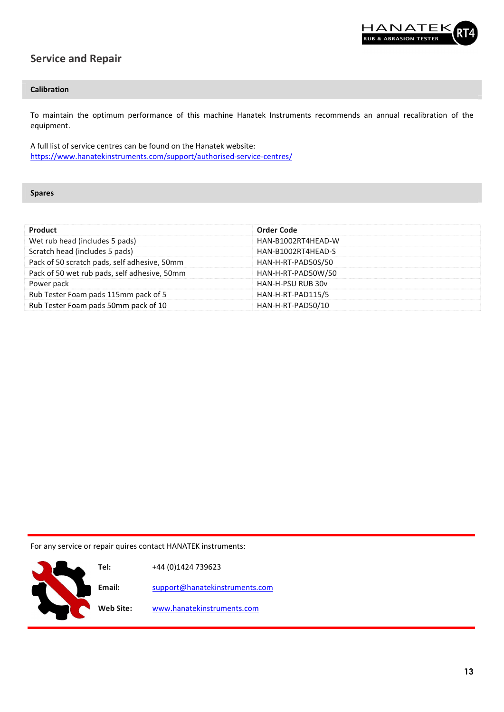

# Service and Repair

## Calibration

To maintain the optimum performance of this machine Hanatek Instruments recommends an annual recalibration of the equipment.

A full list of service centres can be found on the Hanatek website: https://www.hanatekinstruments.com/support/authorised-service-centres/

Spares

k

| Product                                      | <b>Order Code</b>  |  |
|----------------------------------------------|--------------------|--|
| Wet rub head (includes 5 pads)               | HAN-B1002RT4HEAD-W |  |
| Scratch head (includes 5 pads)               | HAN-B1002RT4HEAD-S |  |
| Pack of 50 scratch pads, self adhesive, 50mm | HAN-H-RT-PAD50S/50 |  |
| Pack of 50 wet rub pads, self adhesive, 50mm | HAN-H-RT-PAD50W/50 |  |
| Power pack                                   | HAN-H-PSU RUB 30y  |  |
| Rub Tester Foam pads 115mm pack of 5         | HAN-H-RT-PAD115/5  |  |
| Rub Tester Foam pads 50mm pack of 10         | HAN-H-RT-PAD50/10  |  |
|                                              |                    |  |

For any service or repair quires contact HANATEK instruments:

| Tel:             | +44 (0)1424 739623             |
|------------------|--------------------------------|
| Email:           | support@hanatekinstruments.com |
| <b>Web Site:</b> | www.hanatekinstruments.com     |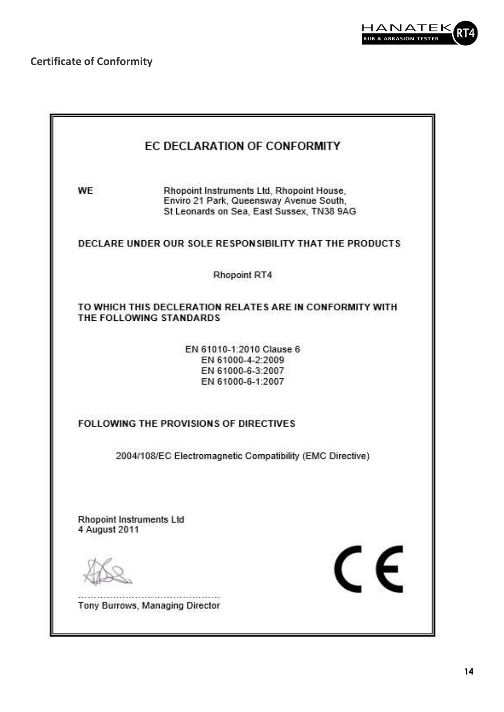

Certificate of Conformity

| Rhopoint Instruments Ltd, Rhopoint House,<br>Enviro 21 Park, Queensway Avenue South,<br>St Leonards on Sea, East Sussex, TN38 9AG |
|-----------------------------------------------------------------------------------------------------------------------------------|
| DECLARE UNDER OUR SOLE RESPONSIBILITY THAT THE PRODUCTS                                                                           |
| Rhopoint RT4                                                                                                                      |
| TO WHICH THIS DECLERATION RELATES ARE IN CONFORMITY WITH<br>THE FOLLOWING STANDARDS                                               |
| EN 61010-1:2010 Clause 6<br>EN 61000-4-2:2009<br>EN 61000-6-3:2007<br>EN 61000-6-1:2007                                           |
| <b>FOLLOWING THE PROVISIONS OF DIRECTIVES</b>                                                                                     |
| 2004/108/EC Electromagnetic Compatibility (EMC Directive)                                                                         |
| <b>Rhopoint Instruments Ltd</b><br>4 August 2011                                                                                  |
|                                                                                                                                   |
|                                                                                                                                   |